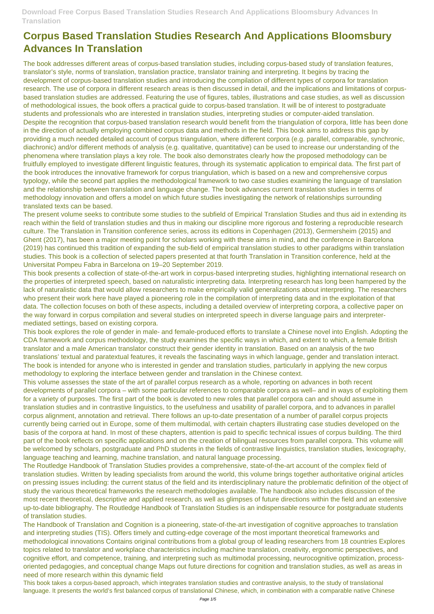# **Corpus Based Translation Studies Research And Applications Bloomsbury Advances In Translation**

The book addresses different areas of corpus-based translation studies, including corpus-based study of translation features, translator's style, norms of translation, translation practice, translator training and interpreting. It begins by tracing the development of corpus-based translation studies and introducing the compilation of different types of corpora for translation research. The use of corpora in different research areas is then discussed in detail, and the implications and limitations of corpusbased translation studies are addressed. Featuring the use of figures, tables, illustrations and case studies, as well as discussion of methodological issues, the book offers a practical guide to corpus-based translation. It will be of interest to postgraduate students and professionals who are interested in translation studies, interpreting studies or computer-aided translation. Despite the recognition that corpus-based translation research would benefit from the triangulation of corpora, little has been done in the direction of actually employing combined corpus data and methods in the field. This book aims to address this gap by providing a much needed detailed account of corpus triangulation, where different corpora (e.g. parallel, comparable, synchronic, diachronic) and/or different methods of analysis (e.g. qualitative, quantitative) can be used to increase our understanding of the phenomena where translation plays a key role. The book also demonstrates clearly how the proposed methodology can be fruitfully employed to investigate different linguistic features, through its systematic application to empirical data. The first part of the book introduces the innovative framework for corpus triangulation, which is based on a new and comprehensive corpus typology, while the second part applies the methodological framework to two case studies examining the language of translation and the relationship between translation and language change. The book advances current translation studies in terms of methodology innovation and offers a model on which future studies investigating the network of relationships surrounding translated texts can be based.

The present volume seeks to contribute some studies to the subfield of Empirical Translation Studies and thus aid in extending its reach within the field of translation studies and thus in making our discipline more rigorous and fostering a reproducible research culture. The Translation in Transition conference series, across its editions in Copenhagen (2013), Germersheim (2015) and Ghent (2017), has been a major meeting point for scholars working with these aims in mind, and the conference in Barcelona (2019) has continued this tradition of expanding the sub-field of empirical translation studies to other paradigms within translation studies. This book is a collection of selected papers presented at that fourth Translation in Transition conference, held at the Universitat Pompeu Fabra in Barcelona on 19–20 September 2019.

This book presents a collection of state-of-the-art work in corpus-based interpreting studies, highlighting international research on the properties of interpreted speech, based on naturalistic interpreting data. Interpreting research has long been hampered by the lack of naturalistic data that would allow researchers to make empirically valid generalizations about interpreting. The researchers who present their work here have played a pioneering role in the compilation of interpreting data and in the exploitation of that data. The collection focuses on both of these aspects, including a detailed overview of interpreting corpora, a collective paper on the way forward in corpus compilation and several studies on interpreted speech in diverse language pairs and interpretermediated settings, based on existing corpora.

This book explores the role of gender in male- and female-produced efforts to translate a Chinese novel into English. Adopting the CDA framework and corpus methodology, the study examines the specific ways in which, and extent to which, a female British translator and a male American translator construct their gender identity in translation. Based on an analysis of the two translations' textual and paratextual features, it reveals the fascinating ways in which language, gender and translation interact. The book is intended for anyone who is interested in gender and translation studies, particularly in applying the new corpus methodology to exploring the interface between gender and translation in the Chinese context.

This volume assesses the state of the art of parallel corpus research as a whole, reporting on advances in both recent developments of parallel corpora – with some particular references to comparable corpora as well– and in ways of exploiting them for a variety of purposes. The first part of the book is devoted to new roles that parallel corpora can and should assume in translation studies and in contrastive linguistics, to the usefulness and usability of parallel corpora, and to advances in parallel corpus alignment, annotation and retrieval. There follows an up-to-date presentation of a number of parallel corpus projects currently being carried out in Europe, some of them multimodal, with certain chapters illustrating case studies developed on the basis of the corpora at hand. In most of these chapters, attention is paid to specific technical issues of corpus building. The third part of the book reflects on specific applications and on the creation of bilingual resources from parallel corpora. This volume will be welcomed by scholars, postgraduate and PhD students in the fields of contrastive linguistics, translation studies, lexicography, language teaching and learning, machine translation, and natural language processing. The Routledge Handbook of Translation Studies provides a comprehensive, state-of-the-art account of the complex field of translation studies. Written by leading specialists from around the world, this volume brings together authoritative original articles on pressing issues including: the current status of the field and its interdisciplinary nature the problematic definition of the object of study the various theoretical frameworks the research methodologies available. The handbook also includes discussion of the most recent theoretical, descriptive and applied research, as well as glimpses of future directions within the field and an extensive up-to-date bibliography. The Routledge Handbook of Translation Studies is an indispensable resource for postgraduate students of translation studies. The Handbook of Translation and Cognition is a pioneering, state-of-the-art investigation of cognitive approaches to translation and interpreting studies (TIS). Offers timely and cutting-edge coverage of the most important theoretical frameworks and methodological innovations Contains original contributions from a global group of leading researchers from 18 countries Explores topics related to translator and workplace characteristics including machine translation, creativity, ergonomic perspectives, and cognitive effort, and competence, training, and interpreting such as multimodal processing, neurocognitive optimization, processoriented pedagogies, and conceptual change Maps out future directions for cognition and translation studies, as well as areas in need of more research within this dynamic field

This book takes a corpus-based approach, which integrates translation studies and contrastive analysis, to the study of translational language. It presents the world's first balanced corpus of translational Chinese, which, in combination with a comparable native Chinese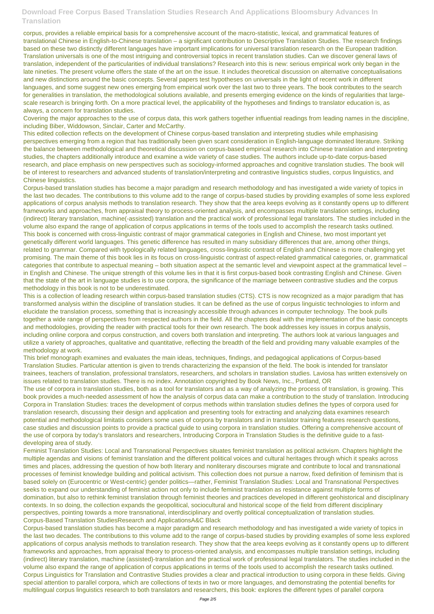corpus, provides a reliable empirical basis for a comprehensive account of the macro-statistic, lexical, and grammatical features of translational Chinese in English-to-Chinese translation – a significant contribution to Descriptive Translation Studies. The research findings based on these two distinctly different languages have important implications for universal translation research on the European tradition. Translation universals is one of the most intriguing and controversial topics in recent translation studies. Can we discover general laws of translation, independent of the particularities of individual translations? Research into this is new: serious empirical work only began in the late nineties. The present volume offers the state of the art on the issue. It includes theoretical discussion on alternative conceptualisations and new distinctions around the basic concepts. Several papers test hypotheses on universals in the light of recent work in different languages, and some suggest new ones emerging from empirical work over the last two to three years. The book contributes to the search for generalities in translation, the methodological solutions available, and presents emerging evidence on the kinds of regularities that largescale research is bringing forth. On a more practical level, the applicability of the hypotheses and findings to translator education is, as always, a concern for translation studies.

Covering the major approaches to the use of corpus data, this work gathers together influential readings from leading names in the discipline, including Biber, Widdowson, Sinclair, Carter and McCarthy.

This edited collection reflects on the development of Chinese corpus-based translation and interpreting studies while emphasising perspectives emerging from a region that has traditionally been given scant consideration in English-language dominated literature. Striking the balance between methodological and theoretical discussion on corpus-based empirical research into Chinese translation and interpreting studies, the chapters additionally introduce and examine a wide variety of case studies. The authors include up-to-date corpus-based research, and place emphasis on new perspectives such as sociology-informed approaches and cognitive translation studies. The book will be of interest to researchers and advanced students of translation/interpreting and contrastive linguistics studies, corpus linguistics, and Chinese linguistics.

Corpus-based translation studies has become a major paradigm and research methodology and has investigated a wide variety of topics in the last two decades. The contributions to this volume add to the range of corpus-based studies by providing examples of some less explored applications of corpus analysis methods to translation research. They show that the area keeps evolving as it constantly opens up to different frameworks and approaches, from appraisal theory to process-oriented analysis, and encompasses multiple translation settings, including (indirect) literary translation, machine(-assisted) translation and the practical work of professional legal translators. The studies included in the volume also expand the range of application of corpus applications in terms of the tools used to accomplish the research tasks outlined. This book is concerned with cross-linguistic contrast of major grammatical categories in English and Chinese, two most important yet genetically different world languages. This genetic difference has resulted in many subsidiary differences that are, among other things, related to grammar. Compared with typologically related languages, cross-linguistic contrast of English and Chinese is more challenging yet promising. The main theme of this book lies in its focus on cross-linguistic contrast of aspect-related grammatical categories, or, grammatical categories that contribute to aspectual meaning – both situation aspect at the semantic level and viewpoint aspect at the grammatical level – in English and Chinese. The unique strength of this volume lies in that it is first corpus-based book contrasting English and Chinese. Given that the state of the art in language studies is to use corpora, the significance of the marriage between contrastive studies and the corpus methodology in this book is not to be underestimated.

This is a collection of leading research within corpus-based translation studies (CTS). CTS is now recognized as a major paradigm that has transformed analysis within the discipline of translation studies. It can be defined as the use of corpus linguistic technologies to inform and elucidate the translation process, something that is increasingly accessible through advances in computer technology. The book pulls together a wide range of perspectives from respected authors in the field. All the chapters deal with the implementation of the basic concepts and methodologies, providing the reader with practical tools for their own research. The book addresses key issues in corpus analysis, including online corpora and corpus construction, and covers both translation and interpreting. The authors look at various languages and utilize a variety of approaches, qualitative and quantitative, reflecting the breadth of the field and providing many valuable examples of the methodology at work.

This brief monograph examines and evaluates the main ideas, techniques, findings, and pedagogical applications of Corpus-based Translation Studies. Particular attention is given to trends characterizing the expansion of the field. The book is intended for translator trainees, teachers of translation, professional translators, researchers, and scholars in translation studies. Laviosa has written extensively on issues related to translation studies. There is no index. Annotation copyrighted by Book News, Inc., Portland, OR

The use of corpora in translation studies, both as a tool for translators and as a way of analyzing the process of translation, is growing. This book provides a much-needed assessment of how the analysis of corpus data can make a contribution to the study of translation. Introducing Corpora in Translation Studies: traces the development of corpus methods within translation studies defines the types of corpora used for translation research, discussing their design and application and presenting tools for extracting and analyzing data examines research potential and methodological limitatis considers some uses of corpora by translators and in translator training features research questions, case studies and discussion points to provide a practical guide to using corpora in translation studies. Offering a comprehensive account of the use of corpora by today's translators and researchers, Introducing Corpora in Translation Studies is the definitive guide to a fastdeveloping area of study.

Feminist Translation Studies: Local and Transnational Perspectives situates feminist translation as political activism. Chapters highlight the multiple agendas and visions of feminist translation and the different political voices and cultural heritages through which it speaks across

times and places, addressing the question of how both literary and nonliterary discourses migrate and contribute to local and transnational processes of feminist knowledge building and political activism. This collection does not pursue a narrow, fixed definition of feminism that is based solely on (Eurocentric or West-centric) gender politics—rather, Feminist Translation Studies: Local and Transnational Perspectives seeks to expand our understanding of feminist action not only to include feminist translation as resistance against multiple forms of domination, but also to rethink feminist translation through feminist theories and practices developed in different geohistorical and disciplinary contexts. In so doing, the collection expands the geopolitical, sociocultural and historical scope of the field from different disciplinary perspectives, pointing towards a more transnational, interdisciplinary and overtly political conceptualization of translation studies. Corpus-Based Translation StudiesResearch and ApplicationsA&C Black

Corpus-based translation studies has become a major paradigm and research methodology and has investigated a wide variety of topics in the last two decades. The contributions to this volume add to the range of corpus-based studies by providing examples of some less explored applications of corpus analysis methods to translation research. They show that the area keeps evolving as it constantly opens up to different frameworks and approaches, from appraisal theory to process-oriented analysis, and encompasses multiple translation settings, including (indirect) literary translation, machine (assisted)-translation and the practical work of professional legal translators. The studies included in the volume also expand the range of application of corpus applications in terms of the tools used to accomplish the research tasks outlined. Corpus Linguistics for Translation and Contrastive Studies provides a clear and practical introduction to using corpora in these fields. Giving special attention to parallel corpora, which are collections of texts in two or more languages, and demonstrating the potential benefits for multilingual corpus linguistics research to both translators and researchers, this book: explores the different types of parallel corpora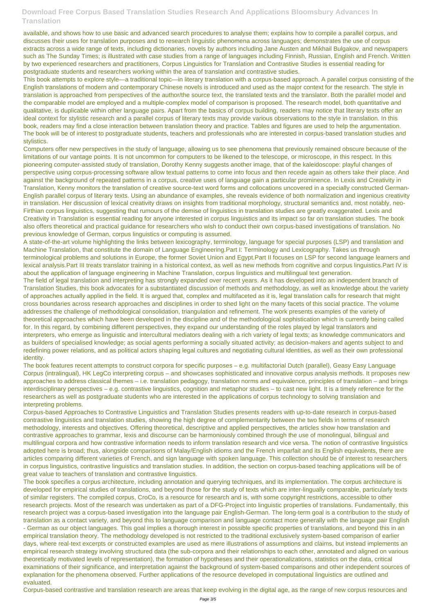available, and shows how to use basic and advanced search procedures to analyse them; explains how to compile a parallel corpus, and discusses their uses for translation purposes and to research linguistic phenomena across languages; demonstrates the use of corpus extracts across a wide range of texts, including dictionaries, novels by authors including Jane Austen and Mikhail Bulgakov, and newspapers such as The Sunday Times; is illustrated with case studies from a range of languages including Finnish, Russian, English and French. Written by two experienced researchers and practitioners, Corpus Linguistics for Translation and Contrastive Studies is essential reading for postgraduate students and researchers working within the area of translation and contrastive studies.

This book attempts to explore style—a traditional topic—in literary translation with a corpus-based approach. A parallel corpus consisting of the English translations of modern and contemporary Chinese novels is introduced and used as the major context for the research. The style in translation is approached from perspectives of the author/the source text, the translated texts and the translator. Both the parallel model and the comparable model are employed and a multiple-complex model of comparison is proposed. The research model, both quantitative and qualitative, is duplicable within other language pairs. Apart from the basics of corpus building, readers may notice that literary texts offer an ideal context for stylistic research and a parallel corpus of literary texts may provide various observations to the style in translation. In this book, readers may find a close interaction between translation theory and practice. Tables and figures are used to help the argumentation. The book will be of interest to postgraduate students, teachers and professionals who are interested in corpus-based translation studies and stylistics.

Computers offer new perspectives in the study of language, allowing us to see phenomena that previously remained obscure because of the limitations of our vantage points. It is not uncommon for computers to be likened to the telescope, or microscope, in this respect. In this pioneering computer-assisted study of translation, Dorothy Kenny suggests another image, that of the kaleidoscope: playful changes of perspective using corpus-processing software allow textual patterns to come into focus and then recede again as others take their place. And against the background of repeated patterns in a corpus, creative uses of language gain a particular prominence. In Lexis and Creativity in Translation, Kenny monitors the translation of creative source-text word forms and collocations uncovered in a specially constructed German-English parallel corpus of literary texts. Using an abundance of examples, she reveals evidence of both normalization and ingenious creativity in translation. Her discussion of lexical creativity draws on insights from traditional morphology, structural semantics and, most notably, neo-Firthian corpus linguistics, suggesting that rumours of the demise of linguistics in translation studies are greatly exaggerated. Lexis and Creativity in Translation is essential reading for anyone interested in corpus linguistics and its impact so far on translation studies. The book also offers theoretical and practical guidance for researchers who wish to conduct their own corpus-based investigations of translation. No previous knowledge of German, corpus linguistics or computing is assumed.

A state-of-the-art volume highlighting the links between lexicography, terminology, language for special purposes (LSP) and translation and Machine Translation, that constitute the domain of Language Engineering.Part I: Terminology and Lexicography. Takes us through terminological problems and solutions in Europe, the former Soviet Union and Egypt.Part II focuses on LSP for second language learners and lexical analysis.Part III treats translator training in a historical context, as well as new methods from cognitive and corpus linguistics.Part IV is about the application of language engineering in Machine Translation, corpus linguistics and multilingual text generation.

The field of legal translation and interpreting has strongly expanded over recent years. As it has developed into an independent branch of Translation Studies, this book advocates for a substantiated discussion of methods and methodology, as well as knowledge about the variety of approaches actually applied in the field. It is argued that, complex and multifaceted as it is, legal translation calls for research that might cross boundaries across research approaches and disciplines in order to shed light on the many facets of this social practice. The volume addresses the challenge of methodological consolidation, triangulation and refinement. The work presents examples of the variety of theoretical approaches which have been developed in the discipline and of the methodological sophistication which is currently being called for. In this regard, by combining different perspectives, they expand our understanding of the roles played by legal translators and interpreters, who emerge as linguistic and intercultural mediators dealing with a rich variety of legal texts; as knowledge communicators and as builders of specialised knowledge; as social agents performing a socially situated activity; as decision-makers and agents subject to and redefining power relations, and as political actors shaping legal cultures and negotiating cultural identities, as well as their own professional identity.

The book features recent attempts to construct corpora for specific purposes – e.g. multifactorial Dutch (parallel), Geasy Easy Language Corpus (intralingual), HK LegCo interpreting corpus – and showcases sophisticated and innovative corpus analysis methods. It proposes new approaches to address classical themes – i.e. translation pedagogy, translation norms and equivalence, principles of translation – and brings interdisciplinary perspectives – e.g. contrastive linguistics, cognition and metaphor studies – to cast new light. It is a timely reference for the researchers as well as postgraduate students who are interested in the applications of corpus technology to solving translation and interpreting problems.

Corpus-based Approaches to Contrastive Linguistics and Translation Studies presents readers with up-to-date research in corpus-based contrastive linguistics and translation studies, showing the high degree of complementarity between the two fields in terms of research methodology, interests and objectives. Offering theoretical, descriptive and applied perspectives, the articles show how translation and contrastive approaches to grammar, lexis and discourse can be harmoniously combined through the use of monolingual, bilingual and multilingual corpora and how contrastive information needs to inform translation research and vice versa. The notion of contrastive linguistics adopted here is broad; thus, alongside comparisons of Malay/English idioms and the French imparfait and its English equivalents, there are articles comparing different varieties of French, and sign language with spoken language. This collection should be of interest to researchers

in corpus linguistics, contrastive linguistics and translation studies. In addition, the section on corpus-based teaching applications will be of great value to teachers of translation and contrastive linguistics.

The book specifies a corpus architecture, including annotation and querying techniques, and its implementation. The corpus architecture is developed for empirical studies of translations, and beyond those for the study of texts which are inter-lingually comparable, particularly texts of similar registers. The compiled corpus, CroCo, is a resource for research and is, with some copyright restrictions, accessible to other research projects. Most of the research was undertaken as part of a DFG-Project into linguistic properties of translations. Fundamentally, this research project was a corpus-based investigation into the language pair English-German. The long-term goal is a contribution to the study of translation as a contact variety, and beyond this to language comparison and language contact more generally with the language pair English - German as our object languages. This goal implies a thorough interest in possible specific properties of translations, and beyond this in an empirical translation theory. The methodology developed is not restricted to the traditional exclusively system-based comparison of earlier days, where real-text excerpts or constructed examples are used as mere illustrations of assumptions and claims, but instead implements an empirical research strategy involving structured data (the sub-corpora and their relationships to each other, annotated and aligned on various theoretically motivated levels of representation), the formation of hypotheses and their operationalizations, statistics on the data, critical examinations of their significance, and interpretation against the background of system-based comparisons and other independent sources of explanation for the phenomena observed. Further applications of the resource developed in computational linguistics are outlined and evaluated.

Corpus-based contrastive and translation research are areas that keep evolving in the digital age, as the range of new corpus resources and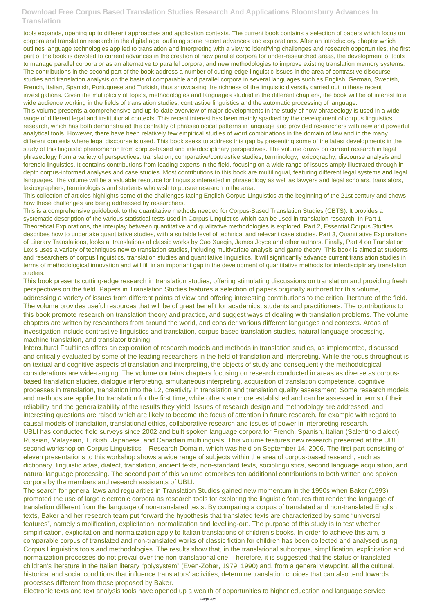tools expands, opening up to different approaches and application contexts. The current book contains a selection of papers which focus on corpora and translation research in the digital age, outlining some recent advances and explorations. After an introductory chapter which outlines language technologies applied to translation and interpreting with a view to identifying challenges and research opportunities, the first part of the book is devoted to current advances in the creation of new parallel corpora for under-researched areas, the development of tools to manage parallel corpora or as an alternative to parallel corpora, and new methodologies to improve existing translation memory systems. The contributions in the second part of the book address a number of cutting-edge linguistic issues in the area of contrastive discourse studies and translation analysis on the basis of comparable and parallel corpora in several languages such as English, German, Swedish, French, Italian, Spanish, Portuguese and Turkish, thus showcasing the richness of the linguistic diversity carried out in these recent investigations. Given the multiplicity of topics, methodologies and languages studied in the different chapters, the book will be of interest to a wide audience working in the fields of translation studies, contrastive linguistics and the automatic processing of language. This volume presents a comprehensive and up-to-date overview of major developments in the study of how phraseology is used in a wide range of different legal and institutional contexts. This recent interest has been mainly sparked by the development of corpus linguistics research, which has both demonstrated the centrality of phraseological patterns in language and provided researchers with new and powerful analytical tools. However, there have been relatively few empirical studies of word combinations in the domain of law and in the many different contexts where legal discourse is used. This book seeks to address this gap by presenting some of the latest developments in the study of this linguistic phenomenon from corpus-based and interdisciplinary perspectives. The volume draws on current research in legal phraseology from a variety of perspectives: translation, comparative/contrastive studies, terminology, lexicography, discourse analysis and forensic linguistics. It contains contributions from leading experts in the field, focusing on a wide range of issues amply illustrated through indepth corpus-informed analyses and case studies. Most contributions to this book are multilingual, featuring different legal systems and legal languages. The volume will be a valuable resource for linguists interested in phraseology as well as lawyers and legal scholars, translators, lexicographers, terminologists and students who wish to pursue research in the area.

This collection of articles highlights some of the challenges facing English Corpus Linguistics at the beginning of the 21st century and shows how these challenges are being addressed by researchers.

This is a comprehensive guidebook to the quantitative methods needed for Corpus-Based Translation Studies (CBTS). It provides a systematic description of the various statistical tests used in Corpus Linguistics which can be used in translation research. In Part 1, Theoretical Explorations, the interplay between quantitative and qualitative methodologies is explored. Part 2, Essential Corpus Studies, describes how to undertake quantitative studies, with a suitable level of technical and relevant case studies. Part 3, Quantitative Explorations of Literary Translations, looks at translations of classic works by Cao Xueqin, James Joyce and other authors. Finally, Part 4 on Translation Lexis uses a variety of techniques new to translation studies, including multivariate analysis and game theory. This book is aimed at students and researchers of corpus linguistics, translation studies and quantitative linguistics. It will significantly advance current translation studies in terms of methodological innovation and will fill in an important gap in the development of quantitative methods for interdisciplinary translation studies.

This book presents cutting-edge research in translation studies, offering stimulating discussions on translation and providing fresh perspectives on the field. Papers in Translation Studies features a selection of papers originally authored for this volume, addressing a variety of issues from different points of view and offering interesting contributions to the critical literature of the field. The volume provides useful resources that will be of great benefit for academics, students and practitioners. The contributions to this book promote research on translation theory and practice, and suggest ways of dealing with translation problems. The volume chapters are written by researchers from around the world, and consider various different languages and contexts. Areas of investigation include contrastive linguistics and translation, corpus-based translation studies, natural language processing, machine translation, and translator training.

Intercultural Faultlines offers an exploration of research models and methods in translation studies, as implemented, discussed and critically evaluated by some of the leading researchers in the field of translation and interpreting. While the focus throughout is on textual and cognitive aspects of translation and interpreting, the objects of study and consequently the methodological considerations are wide-ranging. The volume contains chapters focusing on research conducted in areas as diverse as corpusbased translation studies, dialogue interpreting, simultaneous interpreting, acquisition of translation competence, cognitive processes in translation, translation into the L2, creativity in translation and translation quality assessment. Some research models and methods are applied to translation for the first time, while others are more established and can be assessed in terms of their reliability and the generalizability of the results they yield. Issues of research design and methodology are addressed, and interesting questions are raised which are likely to become the focus of attention in future research, for example with regard to causal models of translation, translational ethics, collaborative research and issues of power in interpreting research. UBLI has conducted field surveys since 2002 and built spoken language corpora for French, Spanish, Italian (Salentino dialect), Russian, Malaysian, Turkish, Japanese, and Canadian multilinguals. This volume features new research presented at the UBLI second workshop on Corpus Linguistics – Research Domain, which was held on September 14, 2006. The first part consisting of eleven presentations to this workshop shows a wide range of subjects within the area of corpus-based research, such as dictionary, linguistic atlas, dialect, translation, ancient texts, non-standard texts, sociolinguistics, second language acquisition, and natural language processing. The second part of this volume comprises ten additional contributions to both written and spoken corpora by the members and research assistants of UBLI. The search for general laws and regularities in Translation Studies gained new momentum in the 1990s when Baker (1993) promoted the use of large electronic corpora as research tools for exploring the linguistic features that render the language of translation different from the language of non-translated texts. By comparing a corpus of translated and non-translated English texts, Baker and her research team put forward the hypothesis that translated texts are characterized by some "universal features", namely simplification, explicitation, normalization and levelling-out. The purpose of this study is to test whether simplification, explicitation and normalization apply to Italian translations of children's books. In order to achieve this aim, a comparable corpus of translated and non-translated works of classic fiction for children has been collected and analysed using Corpus Linguistics tools and methodologies. The results show that, in the translational subcorpus, simplification, explicitation and normalization processes do not prevail over the non-translational one. Therefore, it is suggested that the status of translated children's literature in the Italian literary "polysystem" (Even-Zohar, 1979, 1990) and, from a general viewpoint, all the cultural, historical and social conditions that influence translators' activities, determine translation choices that can also tend towards processes different from those proposed by Baker.

Electronic texts and text analysis tools have opened up a wealth of opportunities to higher education and language service